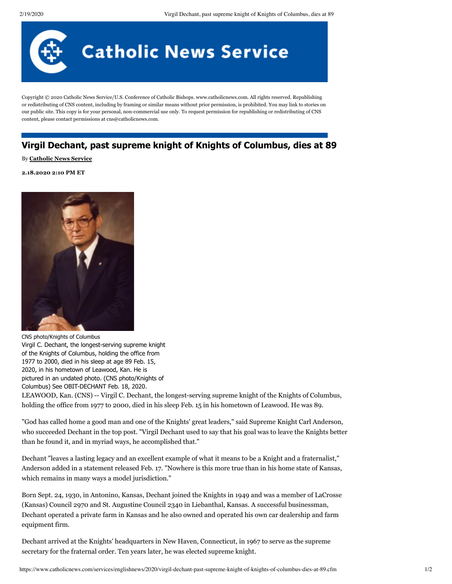

Copyright © 2020 Catholic News Service/U.S. Conference of Catholic Bishops. www.catholicnews.com. All rights reserved. Republishing or redistributing of CNS content, including by framing or similar means without prior permission, is prohibited. You may link to stories on our public site. This copy is for your personal, non-commercial use only. To request permission for republishing or redistributing of CNS content, please contact permissions at cns@catholicnews.com.

# **Virgil Dechant, past supreme knight of Knights of Columbus, dies at 89**

# By **[Catholic News Service](http://www.catholicnews.com/)**

### **2.18.2020 2:10 PM ET**



CNS photo/Knights of Columbus Virgil C. Dechant, the longest-serving supreme knight of the Knights of Columbus, holding the office from 1977 to 2000, died in his sleep at age 89 Feb. 15, 2020, in his hometown of Leawood, Kan. He is pictured in an undated photo. (CNS photo/Knights of Columbus) See OBIT-DECHANT Feb. 18, 2020. LEAWOOD, Kan. (CNS) -- Virgil C. Dechant, the longest-serving supreme knight of the Knights of Columbus, holding the office from 1977 to 2000, died in his sleep Feb. 15 in his hometown of Leawood. He was 89.

"God has called home a good man and one of the Knights' great leaders," said Supreme Knight Carl Anderson, who succeeded Dechant in the top post. "Virgil Dechant used to say that his goal was to leave the Knights better than he found it, and in myriad ways, he accomplished that."

Dechant "leaves a lasting legacy and an excellent example of what it means to be a Knight and a fraternalist," Anderson added in a statement released Feb. 17. "Nowhere is this more true than in his home state of Kansas, which remains in many ways a model jurisdiction."

Born Sept. 24, 1930, in Antonino, Kansas, Dechant joined the Knights in 1949 and was a member of LaCrosse (Kansas) Council 2970 and St. Augustine Council 2340 in Liebanthal, Kansas. A successful businessman, Dechant operated a private farm in Kansas and he also owned and operated his own car dealership and farm equipment firm.

Dechant arrived at the Knights' headquarters in New Haven, Connecticut, in 1967 to serve as the supreme secretary for the fraternal order. Ten years later, he was elected supreme knight.